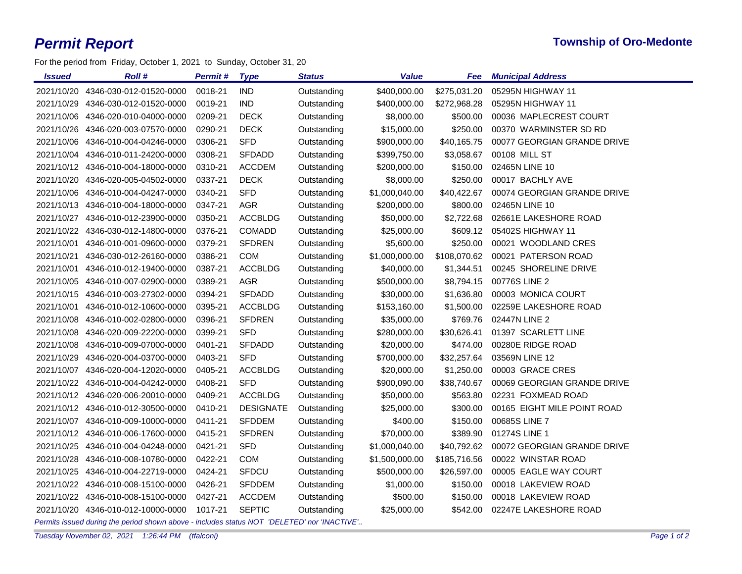## *Permit Report* **Township of Oro-Medonte**

For the period from Friday, October 1, 2021 to Sunday, October 31, 20

| Issued     | <b>Roll#</b>                       | Permit #              | <b>Type</b>      | <b>Status</b>                      | <b>Value</b>   | Fee          | <b>Municipal Address</b>    |
|------------|------------------------------------|-----------------------|------------------|------------------------------------|----------------|--------------|-----------------------------|
|            | 2021/10/20 4346-030-012-01520-0000 | 0018-21               | <b>IND</b>       | Outstanding                        | \$400,000.00   | \$275,031.20 | 05295N HIGHWAY 11           |
|            | 2021/10/29 4346-030-012-01520-0000 | 0019-21               | <b>IND</b>       | Outstanding                        | \$400,000.00   | \$272,968.28 | 05295N HIGHWAY 11           |
|            | 2021/10/06 4346-020-010-04000-0000 | 0209-21               | <b>DECK</b>      | Outstanding                        | \$8,000.00     | \$500.00     | 00036 MAPLECREST COURT      |
|            | 2021/10/26 4346-020-003-07570-0000 | 0290-21               | <b>DECK</b>      | Outstanding                        | \$15,000.00    | \$250.00     | 00370 WARMINSTER SD RD      |
|            | 2021/10/06 4346-010-004-04246-0000 | 0306-21               | <b>SFD</b>       | Outstanding                        | \$900,000.00   | \$40,165.75  | 00077 GEORGIAN GRANDE DRIVE |
|            | 2021/10/04 4346-010-011-24200-0000 | 0308-21               | <b>SFDADD</b>    | Outstanding                        | \$399,750.00   | \$3,058.67   | 00108 MILL ST               |
|            | 2021/10/12 4346-010-004-18000-0000 | 0310-21               | <b>ACCDEM</b>    | Outstanding                        | \$200,000.00   | \$150.00     | 02465N LINE 10              |
|            | 2021/10/20 4346-020-005-04502-0000 | 0337-21               | <b>DECK</b>      | Outstanding                        | \$8,000.00     | \$250.00     | 00017 BACHLY AVE            |
|            | 2021/10/06 4346-010-004-04247-0000 | 0340-21               | <b>SFD</b>       | Outstanding                        | \$1,000,040.00 | \$40,422.67  | 00074 GEORGIAN GRANDE DRIVE |
|            | 2021/10/13 4346-010-004-18000-0000 | 0347-21               | <b>AGR</b>       | Outstanding                        | \$200,000.00   | \$800.00     | 02465N LINE 10              |
|            | 2021/10/27 4346-010-012-23900-0000 | 0350-21               | <b>ACCBLDG</b>   | Outstanding                        | \$50,000.00    | \$2,722.68   | 02661E LAKESHORE ROAD       |
|            | 2021/10/22 4346-030-012-14800-0000 | 0376-21               | COMADD           | Outstanding                        | \$25,000.00    | \$609.12     | 05402S HIGHWAY 11           |
|            | 2021/10/01 4346-010-001-09600-0000 | 0379-21               | <b>SFDREN</b>    | Outstanding                        | \$5,600.00     | \$250.00     | 00021 WOODLAND CRES         |
|            | 2021/10/21 4346-030-012-26160-0000 | 0386-21               | <b>COM</b>       | Outstanding                        | \$1,000,000.00 | \$108,070.62 | 00021 PATERSON ROAD         |
| 2021/10/01 | 4346-010-012-19400-0000            | 0387-21               | <b>ACCBLDG</b>   | Outstanding                        | \$40,000.00    | \$1,344.51   | 00245 SHORELINE DRIVE       |
|            | 2021/10/05 4346-010-007-02900-0000 | 0389-21               | AGR              | Outstanding                        | \$500,000.00   | \$8,794.15   | 00776S LINE 2               |
|            | 2021/10/15 4346-010-003-27302-0000 | 0394-21               | <b>SFDADD</b>    | Outstanding                        | \$30,000.00    | \$1,636.80   | 00003 MONICA COURT          |
|            | 2021/10/01 4346-010-012-10600-0000 | 0395-21               | <b>ACCBLDG</b>   | Outstanding                        | \$153,160.00   | \$1,500.00   | 02259E LAKESHORE ROAD       |
|            | 2021/10/08 4346-010-002-02800-0000 | 0396-21               | <b>SFDREN</b>    | Outstanding                        | \$35,000.00    | \$769.76     | 02447N LINE 2               |
|            | 2021/10/08 4346-020-009-22200-0000 | 0399-21               | <b>SFD</b>       | Outstanding                        | \$280,000.00   | \$30,626.41  | 01397 SCARLETT LINE         |
|            | 2021/10/08 4346-010-009-07000-0000 | 0401-21               | <b>SFDADD</b>    | Outstanding                        | \$20,000.00    | \$474.00     | 00280E RIDGE ROAD           |
|            | 2021/10/29 4346-020-004-03700-0000 | 0403-21               | <b>SFD</b>       | Outstanding                        | \$700,000.00   | \$32,257.64  | 03569N LINE 12              |
|            | 2021/10/07 4346-020-004-12020-0000 | 0405-21               | <b>ACCBLDG</b>   | Outstanding                        | \$20,000.00    | \$1,250.00   | 00003 GRACE CRES            |
|            | 2021/10/22 4346-010-004-04242-0000 | 0408-21               | <b>SFD</b>       | Outstanding                        | \$900,090.00   | \$38,740.67  | 00069 GEORGIAN GRANDE DRIVE |
|            | 2021/10/12 4346-020-006-20010-0000 | 0409-21               | <b>ACCBLDG</b>   | Outstanding                        | \$50,000.00    | \$563.80     | 02231 FOXMEAD ROAD          |
|            | 2021/10/12 4346-010-012-30500-0000 | 0410-21               | <b>DESIGNATE</b> | Outstanding                        | \$25,000.00    | \$300.00     | 00165 EIGHT MILE POINT ROAD |
|            | 2021/10/07 4346-010-009-10000-0000 | 0411-21               | <b>SFDDEM</b>    | Outstanding                        | \$400.00       | \$150.00     | 00685S LINE 7               |
|            | 2021/10/12 4346-010-006-17600-0000 | 0415-21               | <b>SFDREN</b>    | Outstanding                        | \$70,000.00    | \$389.90     | 01274S LINE 1               |
|            | 2021/10/25 4346-010-004-04248-0000 | 0421-21               | <b>SFD</b>       | Outstanding                        | \$1,000,040.00 | \$40,792.62  | 00072 GEORGIAN GRANDE DRIVE |
|            | 2021/10/28 4346-010-008-10780-0000 | 0422-21               | <b>COM</b>       | Outstanding                        | \$1,500,000.00 | \$185,716.56 | 00022 WINSTAR ROAD          |
|            | 2021/10/25 4346-010-004-22719-0000 | 0424-21               | SFDCU            | Outstanding                        | \$500,000.00   | \$26,597.00  | 00005 EAGLE WAY COURT       |
|            | 2021/10/22 4346-010-008-15100-0000 | 0426-21               | <b>SFDDEM</b>    | Outstanding                        | \$1,000.00     | \$150.00     | 00018 LAKEVIEW ROAD         |
|            | 2021/10/22 4346-010-008-15100-0000 | 0427-21               | <b>ACCDEM</b>    | Outstanding                        | \$500.00       | \$150.00     | 00018 LAKEVIEW ROAD         |
|            | 2021/10/20 4346-010-012-10000-0000 | 1017-21               | <b>SEPTIC</b>    | Outstanding                        | \$25,000.00    | \$542.00     | 02247E LAKESHORE ROAD       |
|            |                                    | the substantial state |                  | $L/L = MOT$ IDELETEDL $L = MMAOTU$ |                |              |                             |

*Permits issued during the period shown above - includes status NOT 'DELETED' nor 'INACTIVE'..*